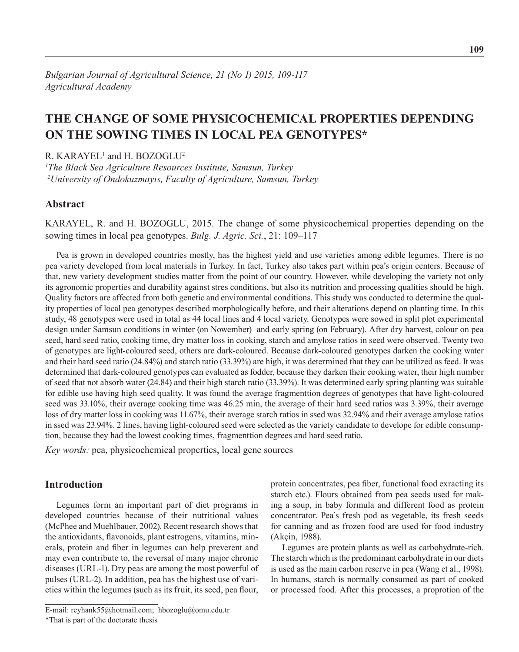# **THE CHANGE OF SOME PHYSICOCHEMICAL PROPERTIES DEPENDING ON THE SOWING TIMES IN LOCAL PEA GENOTYPES\***

 $R$ . KARAYEL<sup>1</sup> and H. BOZOGLU<sup>2</sup>

*1 The Black Sea Agriculture Resources Institute, Samsun, Turkey 2 University of Ondokuzmayıs, Faculty of Agriculture, Samsun, Turkey*

## **Abstract**

KARAYEL, R. and H. BOZOGLU, 2015. The change of some physicochemical properties depending on the sowing times in local pea genotypes. *Bulg. J. Agric. Sci.*, 21: 109–117

Pea is grown in developed countries mostly, has the highest yield and use varieties among edible legumes. There is no pea variety developed from local materials in Turkey. In fact, Turkey also takes part within pea's origin centers. Because of that, new variety development studies matter from the point of our country. However, while developing the variety not only its agronomic properties and durability against stres conditions, but also its nutrition and processing qualities should be high. Quality factors are affected from both genetic and environmental conditions. This study was conducted to determine the quality properties of local pea genotypes described morphologically before, and their alterations depend on planting time. In this study, 48 genotypes were used in total as 44 local lines and 4 local variety. Genotypes were sowed in split plot experimental design under Samsun conditions in winter (on Nowember) and early spring (on February). After dry harvest, colour on pea seed, hard seed ratio, cooking time, dry matter loss in cooking, starch and amylose ratios in seed were observed. Twenty two of genotypes are light-coloured seed, others are dark-coloured. Because dark-coloured genotypes darken the cooking water and their hard seed ratio (24.84%) and starch ratio (33.39%) are high, it was determined that they can be utilized as feed. It was determined that dark-coloured genotypes can evaluated as fodder, because they darken their cooking water, their high number of seed that not absorb water (24.84) and their high starch ratio (33.39%). It was determined early spring planting was suitable for edible use having high seed quality. It was found the average fragmenttion degrees of genotypes that have light-coloured seed was 33.10%, their average cooking time was 46.25 min, the average of their hard seed ratios was 3.39%, their average loss of dry matter loss in cooking was 11.67%, their average starch ratios in ssed was 32.94% and their average amylose ratios in ssed was 23.94%. 2 lines, having light-coloured seed were selected as the variety candidate to develope for edible consumption, because they had the lowest cooking times, fragmenttion degrees and hard seed ratio.

*Key words:* pea, physicochemical properties, local gene sources

# **Introduction**

Legumes form an important part of diet programs in developed countries because of their nutritional values (McPhee and Muehlbauer, 2002). Recent research shows that the antioxidants, flavonoids, plant estrogens, vitamins, minerals, protein and fiber in legumes can help preverent and may even contribute to, the reversal of many major chronic diseases (URL-1). Dry peas are among the most powerful of pulses (URL-2). In addition, pea has the highest use of varieties within the legumes (such as its fruit, its seed, pea flour,

protein concentrates, pea fiber, functional food exracting its starch etc.). Flours obtained from pea seeds used for making a soup, in baby formula and different food as protein concentrator. Pea's fresh pod as vegetable, its fresh seeds for canning and as frozen food are used for food industry (Akçin, 1988).

Legumes are protein plants as well as carbohydrate-rich. The starch which is the predominant carbohydrate in our diets is used as the main carbon reserve in pea (Wang et al., 1998). In humans, starch is normally consumed as part of cooked or processed food. After this processes, a proprotion of the

E-mail: reyhank55@hotmail.com; hbozoglu@omu.edu.tr

<sup>\*</sup>That is part of the doctorate thesis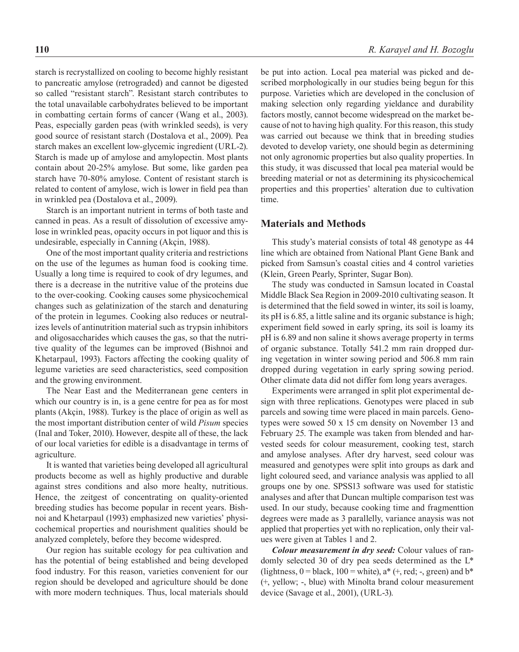starch is recrystallized on cooling to become highly resistant to pancreatic amylose (retrograded) and cannot be digested so called "resistant starch". Resistant starch contributes to the total unavailable carbohydrates believed to be important in combatting certain forms of cancer (Wang et al., 2003). Peas, especially garden peas (with wrinkled seeds), is very good source of resistant starch (Dostalova et al., 2009). Pea starch makes an excellent low-glycemic ingredient (URL-2). Starch is made up of amylose and amylopectin. Most plants contain about 20-25% amylose. But some, like garden pea starch have 70-80% amylose. Content of resistant starch is related to content of amylose, wich is lower in field pea than in wrinkled pea (Dostalova et al., 2009).

Starch is an important nutrient in terms of both taste and canned in peas. As a result of dissolution of excessive amylose in wrinkled peas, opacity occurs in pot liquor and this is undesirable, especially in Canning (Akçin, 1988).

One of the most important quality criteria and restrictions on the use of the legumes as human food is cooking time. Usually a long time is required to cook of dry legumes, and there is a decrease in the nutritive value of the proteins due to the over-cooking. Cooking causes some physicochemical changes such as gelatinization of the starch and denaturing of the protein in legumes. Cooking also reduces or neutralizes levels of antinutrition material such as trypsin inhibitors and oligosaccharides which causes the gas, so that the nutritive quality of the legumes can be improved (Bishnoi and Khetarpaul, 1993). Factors affecting the cooking quality of legume varieties are seed characteristics, seed composition and the growing environment.

The Near East and the Mediterranean gene centers in which our country is in, is a gene centre for pea as for most plants (Akçin, 1988). Turkey is the place of origin as well as the most important distribution center of wild *Pisum* species (Inal and Toker, 2010). However, despite all of these, the lack of our local varieties for edible is a disadvantage in terms of agriculture.

It is wanted that varieties being developed all agricultural products become as well as highly productive and durable against stres conditions and also more healty, nutritious. Hence, the zeitgest of concentrating on quality-oriented breeding studies has become popular in recent years. Bishnoi and Khetarpaul (1993) emphasized new varieties' physicochemical properties and nourishment qualities should be analyzed completely, before they become widespred.

Our region has suitable ecology for pea cultivation and has the potential of being established and being developed food industry. For this reason, varieties convenient for our region should be developed and agriculture should be done with more modern techniques. Thus, local materials should be put into action. Local pea material was picked and described morphologically in our studies being begun for this purpose. Varieties which are developed in the conclusion of making selection only regarding yieldance and durability factors mostly, cannot become widespread on the market because of not to having high quality. For this reason, this study was carried out because we think that in breeding studies devoted to develop variety, one should begin as determining not only agronomic properties but also quality properties. In this study, it was discussed that local pea material would be breeding material or not as determining its physicochemical properties and this properties' alteration due to cultivation time.

#### **Materials and Methods**

This study's material consists of total 48 genotype as 44 line which are obtained from National Plant Gene Bank and picked from Samsun's coastal cities and 4 control varieties (Klein, Green Pearly, Sprinter, Sugar Bon).

The study was conducted in Samsun located in Coastal Middle Black Sea Region in 2009-2010 cultivating season. It is determined that the field sowed in winter, its soil is loamy, its pH is 6.85, a little saline and its organic substance is high; experiment field sowed in early spring, its soil is loamy its pH is 6.89 and non saline it shows average property in terms of organic substance. Totally 541.2 mm rain dropped during vegetation in winter sowing period and 506.8 mm rain dropped during vegetation in early spring sowing period. Other climate data did not differ fom long years averages.

Experiments were arranged in split plot experimental design with three replications. Genotypes were placed in sub parcels and sowing time were placed in main parcels. Genotypes were sowed 50 x 15 cm density on November 13 and February 25. The example was taken from blended and harvested seeds for colour measurement, cooking test, starch and amylose analyses. After dry harvest, seed colour was measured and genotypes were split into groups as dark and light coloured seed, and variance analysis was applied to all groups one by one. SPSS13 software was used for statistic analyses and after that Duncan multiple comparison test was used. In our study, because cooking time and fragmenttion degrees were made as 3 parallelly, variance anaysis was not applied that properties yet with no replication, only their values were given at Tables 1 and 2.

*Colour measurement in dry seed:* Colour values of randomly selected 30 of dry pea seeds determined as the L\* (lightness,  $0 =$  black,  $100 =$  white),  $a^*$  (+, red; -, green) and  $b^*$ (+, yellow; -, blue) with Minolta brand colour measurement device (Savage et al., 2001), (URL-3).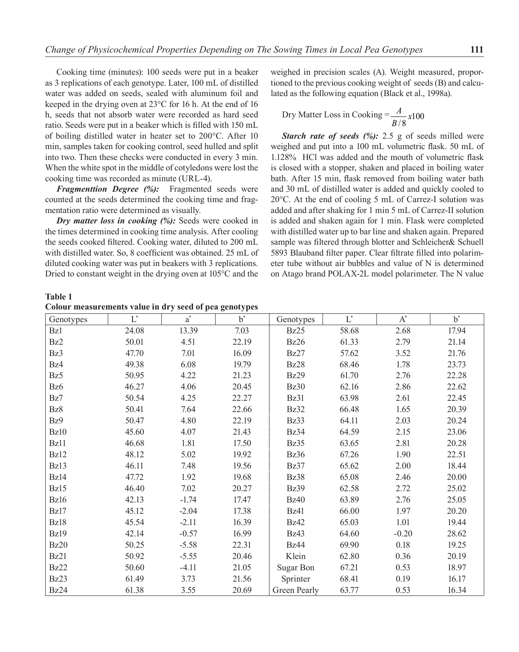Cooking time (minutes): 100 seeds were put in a beaker as 3 replications of each genotype. Later, 100 mL of distilled water was added on seeds, sealed with aluminum foil and keeped in the drying oven at 23°C for 16 h. At the end of 16 h, seeds that not absorb water were recorded as hard seed ratio. Seeds were put in a beaker which is filled with 150 mL of boiling distilled water in heater set to 200°C. After 10 min, samples taken for cooking control, seed hulled and split into two. Then these checks were conducted in every 3 min. When the white spot in the middle of cotyledons were lost the cooking time was recorded as minute (URL-4).

*Fragmenttion Degree (%):* Fragmented seeds were counted at the seeds determined the cooking time and fragmentation ratio were determined as visually.

*Dry matter loss in cooking (%):* Seeds were cooked in the times determined in cooking time analysis. After cooling the seeds cooked filtered. Cooking water, diluted to 200 mL with distilled water. So, 8 coefficient was obtained. 25 mL of diluted cooking water was put in beakers with 3 replications. Dried to constant weight in the drying oven at 105°C and the

weighed in precision scales (A). Weight measured, proportioned to the previous cooking weight of seeds (B) and calculated as the following equation (Black et al., 1998a).

$$
Try Matter Loss in Cobking = \frac{A}{B/8}x100
$$

*Starch rate of seeds (%):* 2.5 g of seeds milled were weighed and put into a 100 mL volumetric flask. 50 mL of 1.128% HCl was added and the mouth of volumetric flask is closed with a stopper, shaken and placed in boiling water bath. After 15 min, flask removed from boiling water bath and 30 mL of distilled water is added and quickly cooled to 20°C. At the end of cooling 5 mL of Carrez-I solution was added and after shaking for 1 min 5 mL of Carrez-II solution is added and shaken again for 1 min. Flask were completed with distilled water up to bar line and shaken again. Prepared sample was filtered through blotter and Schleicher& Schuell 5893 Blauband filter paper. Clear filtrate filled into polarimeter tube without air bubbles and value of N is determined on Atago brand POLAX-2L model polarimeter. The N value

**Table 1**

**Colour measurements value in dry seed of pea genotypes**

| Genotypes   | $L^*$ | $a^*$   | $h^*$ | Genotypes    | $L^*$ | $A^*$   | $h^*$ |
|-------------|-------|---------|-------|--------------|-------|---------|-------|
| Bz1         | 24.08 | 13.39   | 7.03  | Bz25         | 58.68 | 2.68    | 17.94 |
| Bz2         | 50.01 | 4.51    | 22.19 | Bz26         | 61.33 | 2.79    | 21.14 |
| Bz3         | 47.70 | 7.01    | 16.09 | Bz27         | 57.62 | 3.52    | 21.76 |
| Bz4         | 49.38 | 6.08    | 19.79 | Bz28         | 68.46 | 1.78    | 23.73 |
| Bz5         | 50.95 | 4.22    | 21.23 | Bz29         | 61.70 | 2.76    | 22.28 |
| Bz6         | 46.27 | 4.06    | 20.45 | <b>Bz30</b>  | 62.16 | 2.86    | 22.62 |
| Bz7         | 50.54 | 4.25    | 22.27 | Bz31         | 63.98 | 2.61    | 22.45 |
| Bz8         | 50.41 | 7.64    | 22.66 | Bz32         | 66.48 | 1.65    | 20.39 |
| Bz9         | 50.47 | 4.80    | 22.19 | Bz33         | 64.11 | 2.03    | 20.24 |
| <b>Bz10</b> | 45.60 | 4.07    | 21.43 | Bz34         | 64.59 | 2.15    | 23.06 |
| Bz11        | 46.68 | 1.81    | 17.50 | Bz35         | 63.65 | 2.81    | 20.28 |
| Bz12        | 48.12 | 5.02    | 19.92 | <b>Bz36</b>  | 67.26 | 1.90    | 22.51 |
| Bz13        | 46.11 | 7.48    | 19.56 | Bz37         | 65.62 | 2.00    | 18.44 |
| Bz14        | 47.72 | 1.92    | 19.68 | Bz38         | 65.08 | 2.46    | 20.00 |
| Bz15        | 46.40 | 7.02    | 20.27 | <b>Bz39</b>  | 62.58 | 2.72    | 25.02 |
| Bz16        | 42.13 | $-1.74$ | 17.47 | <b>Bz40</b>  | 63.89 | 2.76    | 25.05 |
| Bz17        | 45.12 | $-2.04$ | 17.38 | Bz41         | 66.00 | 1.97    | 20.20 |
| Bz18        | 45.54 | $-2.11$ | 16.39 | <b>Bz42</b>  | 65.03 | 1.01    | 19.44 |
| Bz19        | 42.14 | $-0.57$ | 16.99 | Bz43         | 64.60 | $-0.20$ | 28.62 |
| <b>Bz20</b> | 50.25 | $-5.58$ | 22.31 | Bz44         | 69.90 | 0.18    | 19.25 |
| Bz21        | 50.92 | $-5.55$ | 20.46 | Klein        | 62.80 | 0.36    | 20.19 |
| Bz22        | 50.60 | $-4.11$ | 21.05 | Sugar Bon    | 67.21 | 0.53    | 18.97 |
| Bz23        | 61.49 | 3.73    | 21.56 | Sprinter     | 68.41 | 0.19    | 16.17 |
| Bz24        | 61.38 | 3.55    | 20.69 | Green Pearly | 63.77 | 0.53    | 16.34 |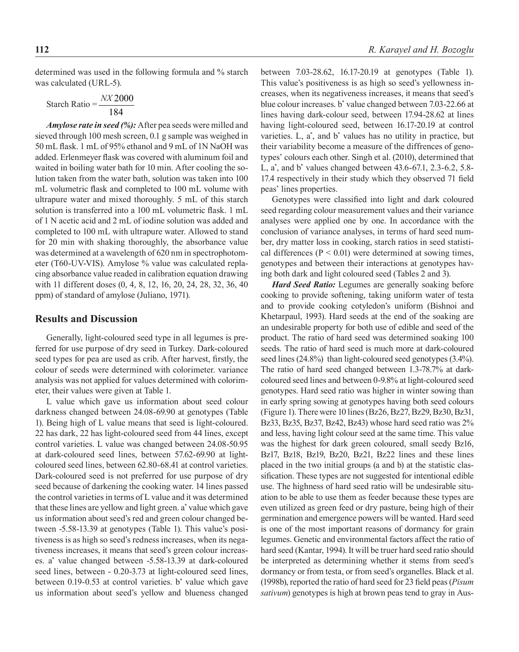determined was used in the following formula and % starch was calculated (URL-5).

Starch Ratio = 184 *NX* 2000 *NX*

*Amylose rate in seed (%):* After pea seeds were milled and sieved through 100 mesh screen, 0.1 g sample was weighed in 50 mL flask. 1 mL of 95% ethanol and 9 mL of 1N NaOH was added. Erlenmeyer flask was covered with aluminum foil and waited in boiling water bath for 10 min. After cooling the solution taken from the water bath, solution was taken into 100 mL volumetric flask and completed to 100 mL volume with ultrapure water and mixed thoroughly. 5 mL of this starch solution is transferred into a 100 mL volumetric flask. 1 mL of 1 N acetic acid and 2 mL of iodine solution was added and completed to 100 mL with ultrapure water. Allowed to stand for 20 min with shaking thoroughly, the absorbance value was determined at a wavelength of 620 nm in spectrophotometer (T60-UV-VIS). Amylose % value was calculated replacing absorbance value readed in calibration equation drawing with 11 different doses (0, 4, 8, 12, 16, 20, 24, 28, 32, 36, 40 ppm) of standard of amylose (Juliano, 1971).

#### **Results and Discussion**

Generally, light-coloured seed type in all legumes is preferred for use purpose of dry seed in Turkey. Dark-coloured seed types for pea are used as crib. After harvest, firstly, the colour of seeds were determined with colorimeter. variance analysis was not applied for values determined with colorimeter, their values were given at Table 1.

L value which gave us information about seed colour darkness changed between 24.08-69.90 at genotypes (Table 1). Being high of L value means that seed is light-coloured. 22 has dark, 22 has light-coloured seed from 44 lines, except control varieties. L value was changed between 24.08-50.95 at dark-coloured seed lines, between 57.62-69.90 at lightcoloured seed lines, between 62.80-68.41 at control varieties. Dark-coloured seed is not preferred for use purpose of dry seed because of darkening the cooking water. 14 lines passed the control varieties in terms of L value and it was determined that these lines are yellow and light green. a\* value which gave us information about seed's red and green colour changed between -5.58-13.39 at genotypes (Table 1). This value's positiveness is as high so seed's redness increases, when its negativeness increases, it means that seed's green colour increases. a\* value changed between -5.58-13.39 at dark-coloured seed lines, between - 0.20-3.73 at light-coloured seed lines, between 0.19-0.53 at control varieties. b\* value which gave us information about seed's yellow and blueness changed

between 7.03-28.62, 16.17-20.19 at genotypes (Table 1). This value's positiveness is as high so seed's yellowness increases, when its negativeness increases, it means that seed's blue colour increases. b\* value changed between 7.03-22.66 at lines having dark-colour seed, between 17.94-28.62 at lines having light-coloured seed, between 16.17-20.19 at control varieties.  $L$ ,  $a^*$ , and  $b^*$  values has no utility in practice, but their variability become a measure of the diffrences of genotypes' colours each other. Singh et al. (2010), determined that L, a\* , and b\* values changed between 43.6-67.1, 2.3-6.2, 5.8- 17.4 respectively in their study which they observed 71 field peas' lines properties.

Genotypes were classified into light and dark coloured seed regarding colour measurement values and their variance analyses were applied one by one. In accordance with the conclusion of variance analyses, in terms of hard seed number, dry matter loss in cooking, starch ratios in seed statistical differences ( $P < 0.01$ ) were determined at sowing times, genotypes and between their interactions at genotypes having both dark and light coloured seed (Tables 2 and 3).

*Hard Seed Ratio:* Legumes are generally soaking before cooking to provide softening, taking uniform water of testa and to provide cooking cotyledon's uniform (Bishnoi and Khetarpaul, 1993). Hard seeds at the end of the soaking are an undesirable property for both use of edible and seed of the product. The ratio of hard seed was determined soaking 100 seeds. The ratio of hard seed is much more at dark-coloured seed lines (24.8%) than light-coloured seed genotypes (3.4%). The ratio of hard seed changed between 1.3-78.7% at darkcoloured seed lines and between 0-9.8% at light-coloured seed genotypes. Hard seed ratio was higher in winter sowing than in early spring sowing at genotypes having both seed colours (Figure 1). There were 10 lines (Bz26, Bz27, Bz29, Bz30, Bz31, Bz33, Bz35, Bz37, Bz42, Bz43) whose hard seed ratio was 2% and less, having light colour seed at the same time. This value was the highest for dark green coloured, small seedy Bz16, Bz17, Bz18, Bz19, Bz20, Bz21, Bz22 lines and these lines placed in the two initial groups (a and b) at the statistic classification. These types are not suggested for intentional edible use. The highness of hard seed ratio will be undesirable situation to be able to use them as feeder because these types are even utilized as green feed or dry pasture, being high of their germination and emergence powers will be wanted. Hard seed is one of the most important reasons of dormancy for grain legumes. Genetic and environmental factors affect the ratio of hard seed (Kantar, 1994). It will be truer hard seed ratio should be interpreted as determining whether it stems from seed's dormancy or from testa, or from seed's organelles. Black et al. (1998b), reported the ratio of hard seed for 23 field peas (*Pisum sativum*) genotypes is high at brown peas tend to gray in Aus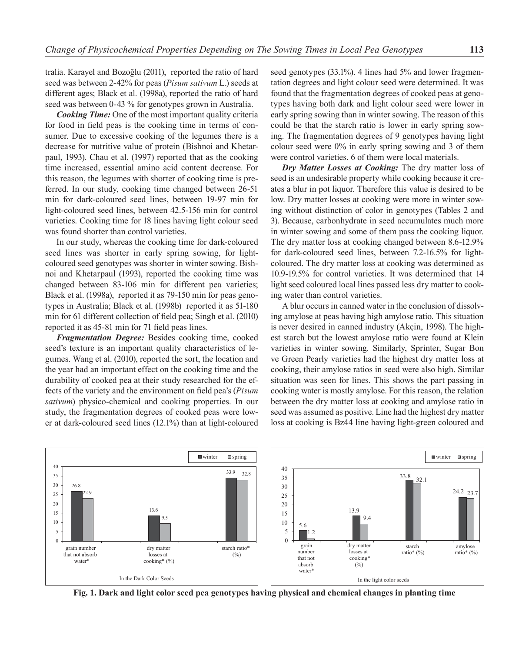tralia. Karayel and Bozoğlu (2011), reported the ratio of hard seed was between 2-42% for peas (*Pisum sativum* L.) seeds at different ages; Black et al. (1998a), reported the ratio of hard seed was between 0-43 % for genotypes grown in Australia.

*Cooking Time:* One of the most important quality criteria for food in field peas is the cooking time in terms of consumer. Due to excessive cooking of the legumes there is a decrease for nutritive value of protein (Bishnoi and Khetarpaul, 1993). Chau et al. (1997) reported that as the cooking time increased, essential amino acid content decrease. For this reason, the legumes with shorter of cooking time is preferred. In our study, cooking time changed between 26-51 min for dark-coloured seed lines, between 19-97 min for light-coloured seed lines, between 42.5-156 min for control varieties. Cooking time for 18 lines having light colour seed was found shorter than control varieties.

In our study, whereas the cooking time for dark-coloured seed lines was shorter in early spring sowing, for lightcoloured seed genotypes was shorter in winter sowing. Bishnoi and Khetarpaul (1993), reported the cooking time was changed between 83-106 min for different pea varieties; Black et al. (1998a), reported it as 79-150 min for peas genotypes in Australia; Black et al. (1998b) reported it as 51-180 min for 61 different collection of field pea; Singh et al. (2010) reported it as 45-81 min for 71 field peas lines.

*Fragmentation Degree:* Besides cooking time, cooked seed's texture is an important quality characteristics of legumes. Wang et al. (2010), reported the sort, the location and the year had an important effect on the cooking time and the durability of cooked pea at their study researched for the effects of the variety and the environment on field pea's (*Pisum sativum*) physico-chemical and cooking properties. In our study, the fragmentation degrees of cooked peas were lower at dark-coloured seed lines (12.1%) than at light-coloured

seed genotypes (33.1%). 4 lines had 5% and lower fragmentation degrees and light colour seed were determined. It was found that the fragmentation degrees of cooked peas at genotypes having both dark and light colour seed were lower in early spring sowing than in winter sowing. The reason of this could be that the starch ratio is lower in early spring sowing. The fragmentation degrees of 9 genotypes having light colour seed were 0% in early spring sowing and 3 of them were control varieties, 6 of them were local materials.

*Dry Matter Losses at Cooking:* The dry matter loss of seed is an undesirable property while cooking because it creates a blur in pot liquor. Therefore this value is desired to be low. Dry matter losses at cooking were more in winter sowing without distinction of color in genotypes (Tables 2 and 3). Because, carbonhydrate in seed accumulates much more in winter sowing and some of them pass the cooking liquor. The dry matter loss at cooking changed between 8.6-12.9% for dark-coloured seed lines, between 7.2-16.5% for lightcoloured. The dry matter loss at cooking was determined as 10.9-19.5% for control varieties. It was determined that 14 light seed coloured local lines passed less dry matter to cooking water than control varieties.

A blur occurs in canned water in the conclusion of dissolving amylose at peas having high amylose ratio. This situation is never desired in canned industry (Akçin, 1998). The highest starch but the lowest amylose ratio were found at Klein varieties in winter sowing. Similarly, Sprinter, Sugar Bon ve Green Pearly varieties had the highest dry matter loss at cooking, their amylose ratios in seed were also high. Similar situation was seen for lines. This shows the part passing in cooking water is mostly amylose. For this reason, the relation between the dry matter loss at cooking and amylose ratio in seed was assumed as positive. Line had the highest dry matter loss at cooking is Bz44 line having light-green coloured and



**Fig. 1. Dark and light color seed pea genotypes having physical and chemical changes in planting time**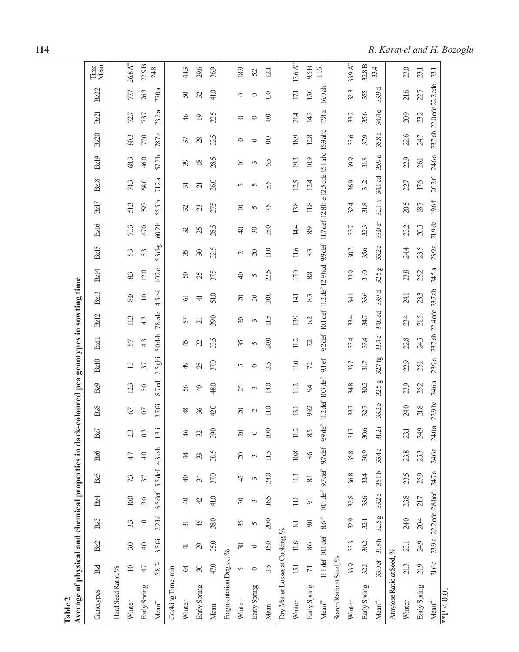**The Compact in the same in the compact in the same in the compact in the same of the compact in the same of the same of the same of the same of the same of the same of the same of the same of the same of the same of the s** 

**114** *R. Karayel and H. Bozoglu*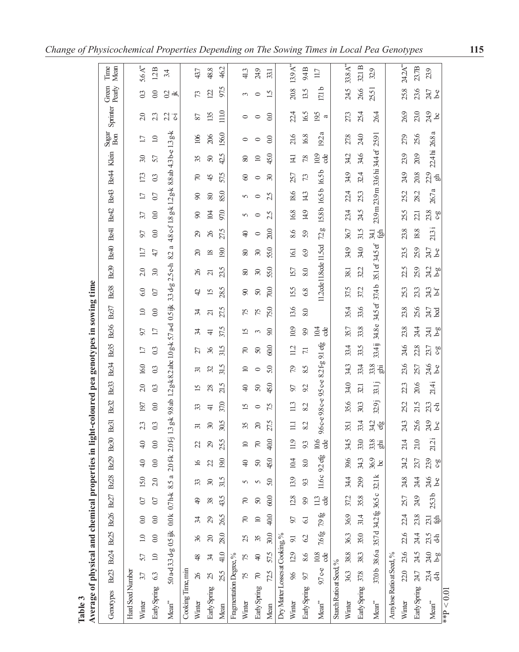| Average of physical and chemical properties<br>Table 3 |                |                           |                                          |                  |                   |                |                 |               |                                 |             |                     |                        |                                       | in light-coloured pea genotypes in sowing time |                                 |                        |                     |                |                                         |                   |                   |                 |                                     |                  |                 |                        |
|--------------------------------------------------------|----------------|---------------------------|------------------------------------------|------------------|-------------------|----------------|-----------------|---------------|---------------------------------|-------------|---------------------|------------------------|---------------------------------------|------------------------------------------------|---------------------------------|------------------------|---------------------|----------------|-----------------------------------------|-------------------|-------------------|-----------------|-------------------------------------|------------------|-----------------|------------------------|
| Genotypes                                              |                |                           | Bz23 Bz24 Bz25 Bz26 Bz27                 |                  |                   | Bz28           | Bz29            | Bz30          | Bz31                            | <b>Bz32</b> | Bz33                | <b>Bz34</b>            | Bz35                                  | <b>Bz36</b>                                    | Bz37                            | <b>Bz38</b>            | <b>Bz39</b>         | Bz41<br>Bz40   | Bz42                                    | Bz43              | Bz44              | Klein           | Sugar<br>Bon                        | Sprinter         | Green<br>Pearly | Time<br>Mean           |
| Hard Seed Number                                       |                |                           |                                          |                  |                   |                |                 |               |                                 |             |                     |                        |                                       |                                                |                                 |                        |                     |                |                                         |                   |                   |                 |                                     |                  |                 |                        |
| Winter                                                 | 3.7            | 57                        | $\overline{10}$                          | $\overline{0}$   | 0.7               | 15.0           | 4.0             | 40            | 23                              | 197         | 2.0                 | 16.0                   | 17                                    | 5.6                                            | $\overline{10}$                 | 6.0                    | 2.0                 | 97<br>117      | 3.7                                     | 17                | 173               | 3.0             | 17                                  | 20               | $\mathfrak{S}$  | $5.6\,\mathrm{A}^{**}$ |
| Early Spring                                           | 63             | $\overline{10}$           | $\overline{0}$                           | $\overline{0}$ . | 07                | 2.0            | 0.0             | $\odot$       | $\mathfrak{S}$                  | $_{0.0}$    | $\mathfrak{S}$      | $\overline{0}3$        | $\mathfrak{S}$                        | 17                                             | $_{0.0}$                        | $\overline{0}$         | 3.0                 | 47             | $\odot$<br>$\odot$                      | $\overline{0}$    | 0.3               | 57              | $\supseteq$                         | 23               | $\odot$         | 12B                    |
| $Mean^*$                                               |                |                           | 5.0a-d3.3 d-g 0.5 ijk 0.0k 0.7 h-k 8.5 a |                  |                   |                | $2.0$ fk        | $2.0f$ j      | $\frac{\lambda}{\lambda}$<br>13 |             |                     |                        | 98 ab 1.2 g-k 8.2 abc 1.0 g-k 5.7 a-d |                                                | $0.5$ jjk                       | 2.5<br>$3.3 d-g$       | 82<br>J             | a              | 4.8 c-f 1.8 g-k 1.2 g-k                 |                   |                   | 8.8 ab 4.3 b-e  | $1.3\,\mathrm{g}\text{-}\mathrm{k}$ | 23.5             | 24              | 34                     |
| Cooking Time, min                                      |                |                           |                                          |                  |                   |                |                 |               |                                 |             |                     |                        |                                       |                                                |                                 |                        |                     |                |                                         |                   |                   |                 |                                     |                  |                 |                        |
| Winter                                                 | $\chi$         | $\frac{8}{2}$             | 36                                       | $\approx$        | ₽                 | 33             | $\mathfrak{A}$  | 22            | ਨ                               | 33          | 15                  | ਨ                      | 21                                    | 34                                             | z                               | 42                     | $\%$                | $\Omega$       | $\infty$<br>$\mathcal{L}^{\mathcal{O}}$ | 8                 | $\approx$         | 35              | 106                                 | 2                | $\mathcal{L}$   | 43.7                   |
| Early Spring                                           | $\mathfrak{L}$ | Æ                         | $\infty$                                 | 29               | 38                | $\mathfrak{S}$ | $\mathfrak{L}$  | $\mathcal{S}$ | $\Re$                           | も           | 28                  | $\mathfrak{D}$         | $\mathcal{E}$                         | ╤                                              | គ                               | គ<br>$\overline{15}$   |                     | $\approx$      | $\overline{a}$<br>26                    | $\otimes$         | $\frac{4}{5}$     | $50\,$          | 206                                 | 135              | 122             | 48.8                   |
| Mean                                                   | 255            | 41.0                      | 28.0                                     | 26.5             | 43.5              | 31.5           | 19.0            | 255           | 30.5                            | 37.0        | v<br>$\overline{z}$ | 31.5                   | 31.5                                  | 37.5                                           | 27.5                            | 28.5                   | 23.5                | 19.0           | 97.0<br>275                             | 85.0              | 575               | S<br>42.        | <b>560</b>                          | 111.0            | 975             | 46.2                   |
| Fragmentation Degree, %                                |                |                           |                                          |                  |                   |                |                 |               |                                 |             |                     |                        |                                       |                                                |                                 |                        |                     |                |                                         |                   |                   |                 |                                     |                  |                 |                        |
| Winter                                                 | 52             | 52                        | 25                                       | $\approx$        | $\approx$         | 5              | $\bigcirc$      | $\supseteq$   | 35                              | 15          | $\Theta$            | $\supseteq$            | $\approx$                             | 51                                             | 52                              | 8                      | 80                  | $\pmb{8}$      | 5<br>$\Theta$                           | 5                 | 8                 | $80\,$          | $\circ$                             | $\circ$          | 3               | 41.3                   |
| Early Spring                                           | $\approx$      | $\bigcirc$                | 35                                       | $\supseteq$      | S                 | 5              | $\mathcal{S}$   | $\approx$     | $\infty$                        | $\circ$     | $\mathcal{S}$       | $\circ$                | $\infty$                              | 3                                              | 52                              | $\mathcal{S}$          | $\mathfrak{S}$      | $\infty$       | $\circ$<br>$\circ$                      | $\circ$           | $\circ$           | $\square$       | $\circ$                             | $\circ$          | $\circ$         | 24.9                   |
| Mean                                                   | 72.5           | 57.5                      | 30.0                                     | 40.0             | 60.0              | 5.0            | 45.0            | 40.0          | 27.5                            | 7.5         | 45.0                | 5.0                    | 60.0                                  | 90                                             | 75.0                            | 700                    | 55.0                | 55.0           | 2.5<br>20.0                             | 2.5               | $\mathfrak{D}$    | 45.0            | $\odot$                             | $\odot$          | 1.5             | 33.1                   |
| Dry Matter Losses at Cooking, %                        |                |                           |                                          |                  |                   |                |                 |               |                                 |             |                     |                        |                                       |                                                |                                 |                        |                     |                |                                         |                   |                   |                 |                                     |                  |                 |                        |
| Winter                                                 | 9.6            | 12.9                      | $\overline{5}$                           | 97               | 12.8              | 13.9           | 104             | 11.9          | $\Xi$                           | 11.3        | 97                  | 52                     | 112                                   | 10.9                                           | 13.6                            | 155                    | 157                 | 16.1           | 16.8<br>8.6                             | 18.6              | 25.7              | $\overline{41}$ | 21.6                                | 22.4             | 20.8            | $139A^{**}$            |
| Early Spring                                           | 56             | 8.6                       | 62                                       | Gl               | 99                | 93             | 8.0             | 93            | 82                              | 82          | 92                  | S<br>∞                 | 17                                    | 99                                             | $80^{\circ}$                    | 68                     | $8.0\,$             | 69             | 149<br>59                               | 143               | 73                | 7.8             | 16.8                                | 16.5             | 13.5            | 94B                    |
| $Mean^*$                                               | $97c-e$        | $\frac{8}{3}$             | 76 fg                                    | 79 fg            | 11.3<br>ಕೆ        | 11.6 c         | $92e_{9}$       | 10.6<br>cde   | 96с-е 98с-е 95 с-е              |             |                     | $\overline{5}$<br>82fg | தி                                    | 10.4<br>ප්                                     |                                 | 11.2cde 11.8cde 11.5cd |                     | 72.            | 15.8b<br>go                             | 16.5 <sub>b</sub> | 16.5 <sub>b</sub> | 10.9<br>de      | a<br>192                            | 195<br>a         | 171b            | 117                    |
| Starch Ratio at Seed, %                                |                |                           |                                          |                  |                   |                |                 |               |                                 |             |                     |                        |                                       |                                                |                                 |                        |                     |                |                                         |                   |                   |                 |                                     |                  |                 |                        |
| Winter                                                 | 36.3           | 38.8                      | 36.3                                     | 369              | 37.2              | 34.4           | 39,6            | 34.5          | 35.1                            | 35.6        | 34.0                | 343                    | 33.4                                  | 357                                            | 35.4                            | 37,5                   | 38.1                | 34.9           | 23.4<br>36.7                            | 22.4              | 34.9              | 34.2            | 27.8                                | 273              | 24,5            | $33.8A^{**}$           |
| Early Spring                                           | 37.8           | 38.3                      | 35.0                                     | 314              | 35.8              | 299            | 34.3            | 33.0          | 33.4                            | 30.3        | 32.1                | 33.4                   | 33.5                                  | 33.8                                           | 33.6                            | 37.2                   | 32.2                | 34.0           | 24.5<br>31.5                            | 253               | 32.4              | 34,6            | 24.0                                | 254              | 26,6            | 32.1 B                 |
| $Mean^*$                                               |                |                           | 370b 38.6a 35.7d 34.2 g                  |                  | 36.5c             | 32.1 k         | 369<br>$\infty$ | 33.8<br>·品    | 34.2<br>ஆ்                      | 32.9        | 33.1                | 33.8<br>ig<br>Shi      | 33.4ij                                | 34.8 e                                         | 34.5 ef                         | 37.4b                  | 35.1 ef             | 341<br>34.5 ef | தி                                      | 23.9 m 23.9 m     |                   | 33.6hi 34.4 ef  | 2591                                | 26.4             | 25.51           | 32.9                   |
| Amylose Ratio at Seed, %                               |                |                           |                                          |                  |                   |                |                 |               |                                 |             |                     |                        |                                       |                                                |                                 |                        |                     |                |                                         |                   |                   |                 |                                     |                  |                 |                        |
| Winter                                                 | 22.0           | 23.6                      | 22.6                                     | 22.4             | 25.7              | 24.8           | 24.2            | 21,4          | 24.3                            | 25.2        | 223                 | 23.6                   | 24,6                                  | 23.8                                           | 23.8                            | 25.3                   | 2.5                 | 23.5           | 255<br>23.8                             | 252               | 24.9              | 23.9            | 27.9                                | 269              | 258             | $24.2A^{**}$           |
| Early Spring                                           | 24.7           | 24.5                      | 24.4                                     | 23.8             | 24.9              | 24.4           | 23.7            | 21.0          | 25.6                            | 21.5        | 20.6                | 25.7                   | 22.8                                  | 24.4                                           | 25.6                            | 23.3                   | 259                 | 259            | 22.1<br>18.8                            | 28.2              | 20.8              | 209             | 25.6                                | 23.0             | 23.6            | 23.7B                  |
| $\mathsf{Mean}^{**}$                                   | $23.4$<br>d-h  | 24.0<br>$\overline{9}$ -g | $23.5$<br>d-h                            | 23.1             | 25.3 <sub>b</sub> | 246            | 239             | 21.2          | 24.9<br>प्र                     | 23.3        | 214i                | 24.6<br>b-e            | 23.7<br><b>G</b> <sub>D</sub>         | क्ष<br>24.1                                    | 24.7<br>$\overline{\mathrm{c}}$ | 24.3<br>$\mathcal{F}$  | 24.7<br>24.2<br>क्ष | द्व            | $23.8$<br>$c - 8$<br>213i               | 26.7              | 2.9<br>கி<br>ß    | 22.4hi          | 26.8 a                              | 24.9<br>$\infty$ | 24.7<br>ይ<br>የ  | 239                    |
| ** $P < 0.01$                                          |                |                           |                                          |                  |                   |                |                 |               |                                 |             |                     |                        |                                       |                                                |                                 |                        |                     |                |                                         |                   |                   |                 |                                     |                  |                 |                        |

| Change of Physicochemical Properties Depending on The Sowing Times in Local Pea Genotypes | 115 |
|-------------------------------------------------------------------------------------------|-----|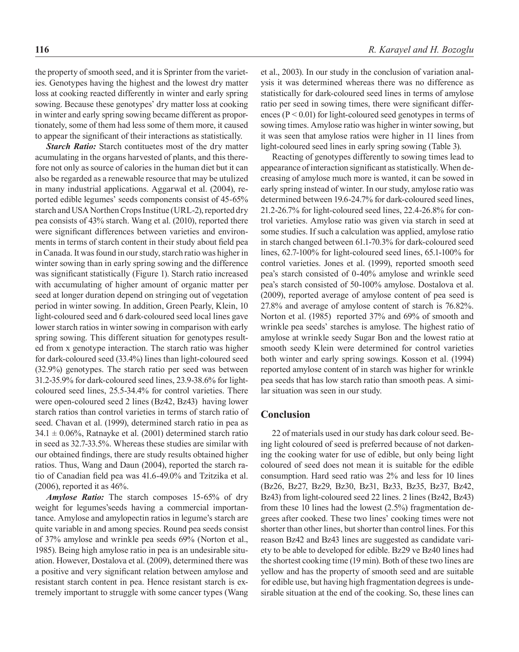the property of smooth seed, and it is Sprinter from the varieties. Genotypes having the highest and the lowest dry matter loss at cooking reacted differently in winter and early spring sowing. Because these genotypes' dry matter loss at cooking in winter and early spring sowing became different as proportionately, some of them had less some of them more, it caused to appear the significant of their interactions as statistically.

*Starch Ratio:* Starch contituetes most of the dry matter acumulating in the organs harvested of plants, and this therefore not only as source of calories in the human diet but it can also be regarded as a renewable resource that may be utulized in many industrial applications. Aggarwal et al. (2004), reported edible legumes' seeds components consist of 45-65% starch and USA Northen Crops Institue (URL-2), reported dry pea consists of 43% starch. Wang et al. (2010), reported there were significant differences between varieties and environments in terms of starch content in their study about field pea in Canada. It was found in our study, starch ratio was higher in winter sowing than in early spring sowing and the difference was significant statistically (Figure 1). Starch ratio increased with accumulating of higher amount of organic matter per seed at longer duration depend on stringing out of vegetation period in winter sowing. In addition, Green Pearly, Klein, 10 light-coloured seed and 6 dark-coloured seed local lines gave lower starch ratios in winter sowing in comparison with early spring sowing. This different situation for genotypes resulted from x genotype interaction. The starch ratio was higher for dark-coloured seed (33.4%) lines than light-coloured seed (32.9%) genotypes. The starch ratio per seed was between 31.2-35.9% for dark-coloured seed lines, 23.9-38.6% for lightcoloured seed lines, 25.5-34.4% for control varieties. There were open-coloured seed 2 lines (Bz42, Bz43) having lower starch ratios than control varieties in terms of starch ratio of seed. Chavan et al. (1999), determined starch ratio in pea as  $34.1 \pm 0.06\%$ , Ratnayke et al. (2001) determined starch ratio in seed as 32.7-33.5%. Whereas these studies are similar with our obtained findings, there are study results obtained higher ratios. Thus, Wang and Daun (2004), reported the starch ratio of Canadian field pea was 41.6-49.0% and Tzitzika et al.  $(2006)$ , reported it as  $46\%$ .

*Amylose Ratio:* The starch composes 15-65% of dry weight for legumes'seeds having a commercial importantance. Amylose and amylopectin ratios in legume's starch are quite variable in and among species. Round pea seeds consist of 37% amylose and wrinkle pea seeds 69% (Norton et al., 1985). Being high amylose ratio in pea is an undesirable situation. However, Dostalova et al. (2009), determined there was a positive and very significant relation between amylose and resistant starch content in pea. Hence resistant starch is extremely important to struggle with some cancer types (Wang et al., 2003). In our study in the conclusion of variation analysis it was determined whereas there was no difference as statistically for dark-coloured seed lines in terms of amylose ratio per seed in sowing times, there were significant differences (P < 0.01) for light-coloured seed genotypes in terms of sowing times. Amylose ratio was higher in winter sowing, but it was seen that amylose ratios were higher in 11 lines from light-coloured seed lines in early spring sowing (Table 3).

Reacting of genotypes differently to sowing times lead to appearance of interaction significant as statistically. When decreasing of amylose much more is wanted, it can be sowed in early spring instead of winter. In our study, amylose ratio was determined between 19.6-24.7% for dark-coloured seed lines, 21.2-26.7% for light-coloured seed lines, 22.4-26.8% for control varieties. Amylose ratio was given via starch in seed at some studies. If such a calculation was applied, amylose ratio in starch changed between 61.1-70.3% for dark-coloured seed lines, 62.7-100% for light-coloured seed lines, 65.1-100% for control varieties. Jones et al. (1999), reported smooth seed pea's starch consisted of 0-40% amylose and wrinkle seed pea's starch consisted of 50-100% amylose. Dostalova et al. (2009), reported average of amylose content of pea seed is 27.8% and average of amylose content of starch is 76.82%. Norton et al. (1985) reported 37% and 69% of smooth and wrinkle pea seeds' starches is amylose. The highest ratio of amylose at wrinkle seedy Sugar Bon and the lowest ratio at smooth seedy Klein were determined for control varieties both winter and early spring sowings. Kosson et al. (1994) reported amylose content of in starch was higher for wrinkle pea seeds that has low starch ratio than smooth peas. A similar situation was seen in our study.

#### **Conclusion**

22 of materials used in our study has dark colour seed. Being light coloured of seed is preferred because of not darkening the cooking water for use of edible, but only being light coloured of seed does not mean it is suitable for the edible consumption. Hard seed ratio was 2% and less for 10 lines (Bz26, Bz27, Bz29, Bz30, Bz31, Bz33, Bz35, Bz37, Bz42, Bz43) from light-coloured seed 22 lines. 2 lines (Bz42, Bz43) from these 10 lines had the lowest (2.5%) fragmentation degrees after cooked. These two lines' cooking times were not shorter than other lines, but shorter than control lines. For this reason Bz42 and Bz43 lines are suggested as candidate variety to be able to developed for edible. Bz29 ve Bz40 lines had the shortest cooking time (19 min). Both of these two lines are yellow and has the property of smooth seed and are suitable for edible use, but having high fragmentation degrees is undesirable situation at the end of the cooking. So, these lines can